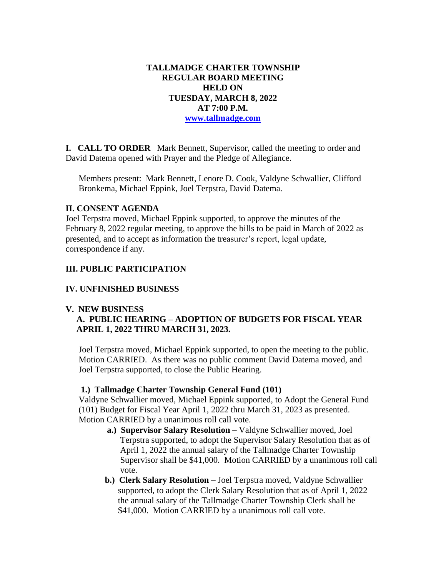### **TALLMADGE CHARTER TOWNSHIP REGULAR BOARD MEETING HELD ON TUESDAY, MARCH 8, 2022 AT 7:00 P.M. [www.tallmadge.com](http://www.tallmadge.com/)**

**I. CALL TO ORDER** Mark Bennett, Supervisor, called the meeting to order and David Datema opened with Prayer and the Pledge of Allegiance.

Members present: Mark Bennett, Lenore D. Cook, Valdyne Schwallier, Clifford Bronkema, Michael Eppink, Joel Terpstra, David Datema.

#### **II. CONSENT AGENDA**

Joel Terpstra moved, Michael Eppink supported, to approve the minutes of the February 8, 2022 regular meeting, to approve the bills to be paid in March of 2022 as presented, and to accept as information the treasurer's report, legal update, correspondence if any.

# **III. PUBLIC PARTICIPATION**

# **IV. UNFINISHED BUSINESS**

# **V. NEW BUSINESS**

# **A. PUBLIC HEARING – ADOPTION OF BUDGETS FOR FISCAL YEAR APRIL 1, 2022 THRU MARCH 31, 2023.**

Joel Terpstra moved, Michael Eppink supported, to open the meeting to the public. Motion CARRIED. As there was no public comment David Datema moved, and Joel Terpstra supported, to close the Public Hearing.

#### **1.) Tallmadge Charter Township General Fund (101)**

 Valdyne Schwallier moved, Michael Eppink supported, to Adopt the General Fund (101) Budget for Fiscal Year April 1, 2022 thru March 31, 2023 as presented. Motion CARRIED by a unanimous roll call vote.

- **a.) Supervisor Salary Resolution –** Valdyne Schwallier moved, Joel Terpstra supported, to adopt the Supervisor Salary Resolution that as of April 1, 2022 the annual salary of the Tallmadge Charter Township Supervisor shall be \$41,000. Motion CARRIED by a unanimous roll call vote.
- **b.) Clerk Salary Resolution –** Joel Terpstra moved, Valdyne Schwallier supported, to adopt the Clerk Salary Resolution that as of April 1, 2022 the annual salary of the Tallmadge Charter Township Clerk shall be \$41,000. Motion CARRIED by a unanimous roll call vote.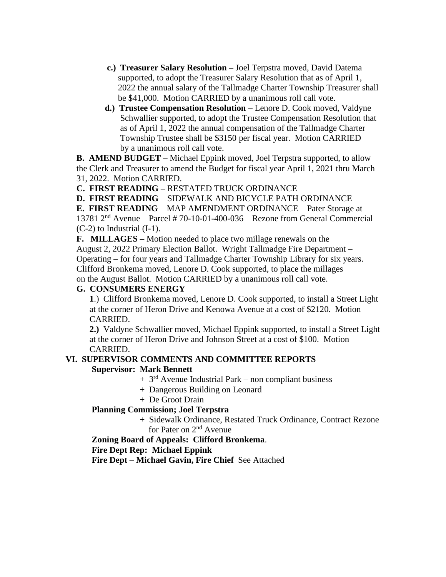- **c.) Treasurer Salary Resolution –** Joel Terpstra moved, David Datema supported, to adopt the Treasurer Salary Resolution that as of April 1, 2022 the annual salary of the Tallmadge Charter Township Treasurer shall be \$41,000. Motion CARRIED by a unanimous roll call vote.
- **d.) Trustee Compensation Resolution –** Lenore D. Cook moved, Valdyne Schwallier supported, to adopt the Trustee Compensation Resolution that as of April 1, 2022 the annual compensation of the Tallmadge Charter Township Trustee shall be \$3150 per fiscal year. Motion CARRIED by a unanimous roll call vote.

 **B. AMEND BUDGET –** Michael Eppink moved, Joel Terpstra supported, to allow the Clerk and Treasurer to amend the Budget for fiscal year April 1, 2021 thru March 31, 2022. Motion CARRIED.

 **C. FIRST READING –** RESTATED TRUCK ORDINANCE

 **D. FIRST READING** – SIDEWALK AND BICYCLE PATH ORDINANCE

 **E. FIRST READING** – MAP AMENDMENT ORDINANCE – Pater Storage at

 13781 2nd Avenue – Parcel # 70-10-01-400-036 – Rezone from General Commercial (C-2) to Industrial (I-1).

 **F. MILLAGES –** Motion needed to place two millage renewals on the August 2, 2022 Primary Election Ballot. Wright Tallmadge Fire Department – Operating – for four years and Tallmadge Charter Township Library for six years. Clifford Bronkema moved, Lenore D. Cook supported, to place the millages on the August Ballot. Motion CARRIED by a unanimous roll call vote.

# **G. CONSUMERS ENERGY**

 **1**.) Clifford Bronkema moved, Lenore D. Cook supported, to install a Street Light at the corner of Heron Drive and Kenowa Avenue at a cost of \$2120. Motion CARRIED.

 **2.)** Valdyne Schwallier moved, Michael Eppink supported, to install a Street Light at the corner of Heron Drive and Johnson Street at a cost of \$100. Motion CARRIED.

# **VI. SUPERVISOR COMMENTS AND COMMITTEE REPORTS**

# **Supervisor: Mark Bennett**

- $+$  3<sup>rd</sup> Avenue Industrial Park non compliant business
	- + Dangerous Building on Leonard
	- + De Groot Drain

# **Planning Commission; Joel Terpstra**

 + Sidewalk Ordinance, Restated Truck Ordinance, Contract Rezone for Pater on 2nd Avenue

# **Zoning Board of Appeals: Clifford Bronkema**.

**Fire Dept Rep: Michael Eppink**

 **Fire Dept – Michael Gavin, Fire Chief** See Attached